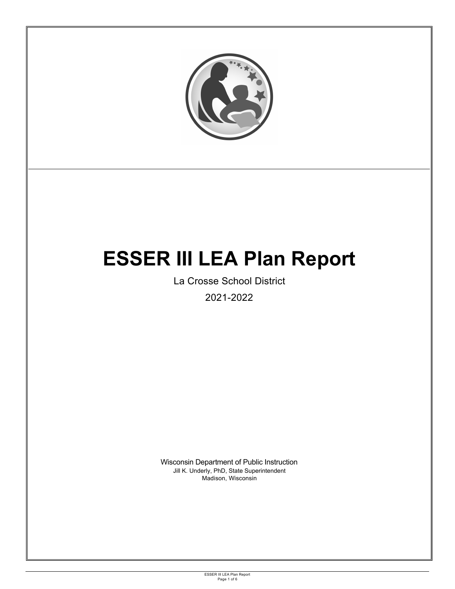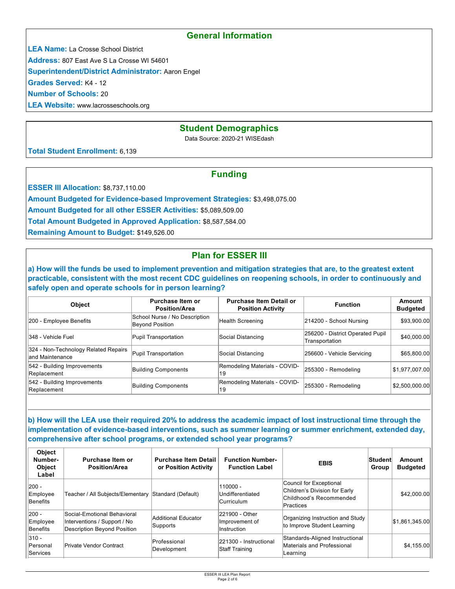## **General Information**

**LEA Name:** La Crosse School District

**Address:** 807 East Ave S La Crosse WI 54601

**Superintendent/District Administrator:** Aaron Engel

**Grades Served:** K4 - 12

**Number of Schools:** 20

**LEA Website:** www.lacrosseschools.org

## **Student Demographics**

Data Source: 2020-21 WISEdash

**Total Student Enrollment:** 6,139

## **Funding**

**ESSER III Allocation: \$8,737,110.00** 

**Amount Budgeted for Evidence-based Improvement Strategies:** \$3,498,075.00

**Amount Budgeted for all other ESSER Activities:** \$5,089,509.00

**Total Amount Budgeted in Approved Application:** \$8,587,584.00

**Remaining Amount to Budget:** \$149,526.00

# **Plan for ESSER III**

**a) How will the funds be used to implement prevention and mitigation strategies that are, to the greatest extent practicable, consistent with the most recent CDC guidelines on reopening schools, in order to continuously and safely open and operate schools for in person learning?**

| <b>Object</b>                                            | Purchase Item or<br><b>Position/Area</b>         | <b>Purchase Item Detail or</b><br><b>Position Activity</b> | <b>Function</b>                                    | Amount<br><b>Budgeted</b> |
|----------------------------------------------------------|--------------------------------------------------|------------------------------------------------------------|----------------------------------------------------|---------------------------|
| 200 - Employee Benefits                                  | School Nurse / No Description<br>Beyond Position | Health Screening                                           | 214200 - School Nursing                            | \$93,900.00               |
| II348 - Vehicle Fuel                                     | Pupil Transportation                             | Social Distancing                                          | 256200 - District Operated Pupil<br>Transportation | \$40,000.00               |
| 324 - Non-Technology Related Repairs<br>land Maintenance | Pupil Transportation                             | Social Distancing                                          | 256600 - Vehicle Servicing                         | \$65,800.00               |
| 542 - Building Improvements<br>Replacement               | Building Components                              | Remodeling Materials - COVID-<br>19                        | 255300 - Remodeling                                | \$1,977,007.00            |
| 542 - Building Improvements<br>Replacement               | <b>Building Components</b>                       | Remodeling Materials - COVID-<br>19                        | 255300 - Remodeling                                | \$2,500,000.00            |

**b) How will the LEA use their required 20% to address the academic impact of lost instructional time through the implementation of evidence-based interventions, such as summer learning or summer enrichment, extended day, comprehensive after school programs, or extended school year programs?**

| Object<br>Number-<br><b>Object</b><br>Label | Purchase Item or<br><b>Position/Area</b>                                                   | <b>Purchase Item Detail</b><br>or Position Activity | <b>Function Number-</b><br><b>Function Label</b>                                                                      | <b>EBIS</b>                                                                                      | Student<br>Group | Amount<br><b>Budgeted</b> |
|---------------------------------------------|--------------------------------------------------------------------------------------------|-----------------------------------------------------|-----------------------------------------------------------------------------------------------------------------------|--------------------------------------------------------------------------------------------------|------------------|---------------------------|
| $ 200 -$<br>Employee<br>Benefits            | Teacher / All Subjects/Elementary Standard (Default)                                       |                                                     | 110000 -<br>Undifferentiated<br>Curriculum                                                                            | Council for Exceptional<br>Children's Division for Early<br>Childhood's Recommended<br>Practices |                  | \$42,000,00               |
| $ 200 -$<br>Employee<br>Benefits            | Social-Emotional Behavioral<br>Interventions / Support / No<br>Description Beyond Position | Additional Educator<br>Supports                     | 221900 - Other<br>Improvement of<br>Instruction                                                                       | Organizing Instruction and Study<br>to Improve Student Learning                                  |                  | \$1,861,345.00            |
| $ 310 -$<br>Personal<br>Services            | Private Vendor Contract                                                                    | Professional<br>Development                         | Standards-Aligned Instructional<br>221300 - Instructional<br>Materials and Professional<br>Staff Training<br>Learning |                                                                                                  |                  | \$4,155.00                |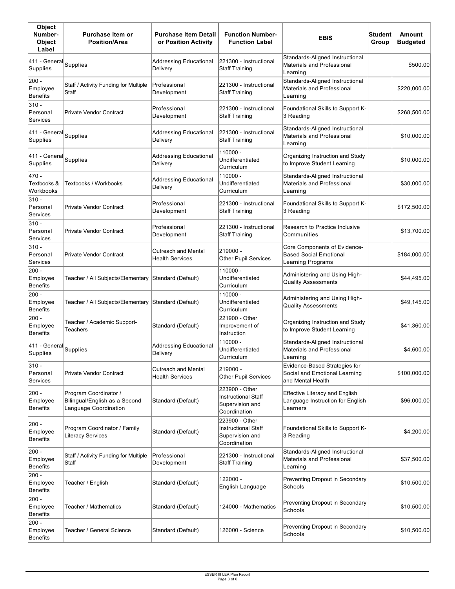| <b>Object</b><br>Number-<br><b>Object</b><br>Label | <b>Purchase Item or</b><br><b>Position/Area</b>                                 | <b>Purchase Item Detail</b><br>or Position Activity | <b>Function Number-</b><br><b>Function Label</b>                                | <b>EBIS</b>                                                                           | Student<br>Group | <b>Amount</b><br><b>Budgeted</b> |
|----------------------------------------------------|---------------------------------------------------------------------------------|-----------------------------------------------------|---------------------------------------------------------------------------------|---------------------------------------------------------------------------------------|------------------|----------------------------------|
| 411 - General<br>Supplies                          | Supplies                                                                        | Addressing Educational<br>Delivery                  | 221300 - Instructional<br><b>Staff Training</b>                                 | Standards-Aligned Instructional<br>Materials and Professional<br>Learning             |                  | \$500.00                         |
| $200 -$<br>Employee<br>Benefits                    | Staff / Activity Funding for Multiple<br>Staff                                  | Professional<br>Development                         | 221300 - Instructional<br>Staff Training                                        | Standards-Aligned Instructional<br>Materials and Professional<br>Learning             |                  | \$220,000.00                     |
| $310 -$<br>Personal<br>Services                    | <b>Private Vendor Contract</b>                                                  | Professional<br>Development                         | 221300 - Instructional<br><b>Staff Training</b>                                 | Foundational Skills to Support K-<br>3 Reading                                        |                  | \$268,500.00                     |
| 411 - General<br>Supplies                          | Supplies                                                                        | Addressing Educational<br>Delivery                  | 221300 - Instructional<br><b>Staff Training</b>                                 | Standards-Aligned Instructional<br>Materials and Professional<br>Learning             |                  | \$10,000.00                      |
| 411 - General<br>Supplies                          | Supplies                                                                        | Addressing Educational<br>Delivery                  | 110000 -<br>Undifferentiated<br>Curriculum                                      | Organizing Instruction and Study<br>to Improve Student Learning                       |                  | \$10,000.00                      |
| 470 -<br>Textbooks &<br>Workbooks                  | Textbooks / Workbooks                                                           | Addressing Educational<br>Delivery                  | 110000 -<br>Undifferentiated<br>Curriculum                                      | Standards-Aligned Instructional<br>Materials and Professional<br>Learning             |                  | \$30,000.00                      |
| $310 -$<br>Personal<br>Services                    | <b>Private Vendor Contract</b>                                                  | Professional<br>Development                         | 221300 - Instructional<br>Staff Training                                        | Foundational Skills to Support K-<br>3 Reading                                        |                  | \$172,500.00                     |
| 310 -<br>Personal<br>Services                      | Private Vendor Contract                                                         | Professional<br>Development                         | 221300 - Instructional<br>Staff Training                                        | Research to Practice Inclusive<br>Communities                                         |                  | \$13,700.00                      |
| $310 -$<br>Personal<br>Services                    | Private Vendor Contract                                                         | Outreach and Mental<br><b>Health Services</b>       | 219000 -<br><b>Other Pupil Services</b>                                         | Core Components of Evidence-<br><b>Based Social Emotional</b><br>Learning Programs    |                  | \$184,000.00                     |
| $200 -$<br>Employee<br><b>Benefits</b>             | Teacher / All Subjects/Elementary                                               | Standard (Default)                                  | 110000 -<br>Undifferentiated<br>Curriculum                                      | Administering and Using High-<br><b>Quality Assessments</b>                           |                  | \$44,495.00                      |
| $200 -$<br>Employee<br><b>Benefits</b>             | Teacher / All Subjects/Elementary                                               | Standard (Default)                                  | 110000 -<br>Undifferentiated<br>Curriculum                                      | Administering and Using High-<br>Quality Assessments                                  |                  | \$49,145.00                      |
| $200 -$<br>Employee<br><b>Benefits</b>             | Teacher / Academic Support-<br>Teachers                                         | Standard (Default)                                  | 221900 - Other<br>Improvement of<br>Instruction                                 | Organizing Instruction and Study<br>to Improve Student Learning                       |                  | \$41,360.00                      |
| 411 - General<br>Supplies                          | Supplies                                                                        | Addressing Educational<br>Delivery                  | 110000 -<br>Undifferentiated<br>Curriculum                                      | Standards-Aligned Instructional<br>Materials and Professional<br>Learning             |                  | \$4,600.00                       |
| $310 -$<br>Personal<br>Services                    | <b>Private Vendor Contract</b>                                                  | Outreach and Mental<br><b>Health Services</b>       | 219000 -<br><b>Other Pupil Services</b>                                         | Evidence-Based Strategies for<br>Social and Emotional Learning<br>and Mental Health   |                  | \$100,000.00                     |
| 200 -<br>Employee<br><b>Benefits</b>               | Program Coordinator /<br>Bilingual/English as a Second<br>Language Coordination | Standard (Default)                                  | 223900 - Other<br><b>Instructional Staff</b><br>Supervision and<br>Coordination | <b>Effective Literacy and English</b><br>Language Instruction for English<br>Learners |                  | \$96,000.00                      |
| $200 -$<br>Employee<br><b>Benefits</b>             | Program Coordinator / Family<br><b>Literacy Services</b>                        | Standard (Default)                                  | 223900 - Other<br><b>Instructional Staff</b><br>Supervision and<br>Coordination | Foundational Skills to Support K-<br>3 Reading                                        |                  | \$4,200.00                       |
| $200 -$<br>Employee<br><b>Benefits</b>             | Staff / Activity Funding for Multiple<br>Staff                                  | Professional<br>Development                         | 221300 - Instructional<br><b>Staff Training</b>                                 | Standards-Aligned Instructional<br>Materials and Professional<br>Learning             |                  | \$37,500.00                      |
| $200 -$<br>Employee<br><b>Benefits</b>             | Teacher / English                                                               | Standard (Default)                                  | 122000 -<br>English Language                                                    | Preventing Dropout in Secondary<br>Schools                                            |                  | \$10,500.00                      |
| $200 -$<br>Employee<br><b>Benefits</b>             | Teacher / Mathematics                                                           | Standard (Default)                                  | 124000 - Mathematics                                                            | Preventing Dropout in Secondary<br>Schools                                            |                  | \$10,500.00                      |
| $200 -$<br>Employee<br>Benefits                    | Teacher / General Science                                                       | Standard (Default)                                  | 126000 - Science                                                                | Preventing Dropout in Secondary<br>Schools                                            |                  | \$10,500.00                      |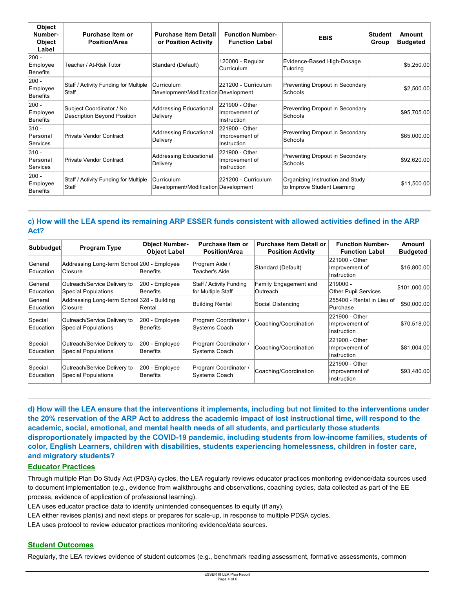| Object<br>Number-<br>Object<br>Label | Purchase Item or<br><b>Position/Area</b>                | <b>Purchase Item Detail</b><br>or Position Activity | <b>Function Number-</b><br><b>Function Label</b> | <b>EBIS</b>                                                     | ∣Student∣<br>Group | Amount<br><b>Budgeted</b> |
|--------------------------------------|---------------------------------------------------------|-----------------------------------------------------|--------------------------------------------------|-----------------------------------------------------------------|--------------------|---------------------------|
| 200 -<br>Employee<br>Benefits        | Teacher / At-Risk Tutor                                 | Standard (Default)                                  | 120000 - Regular<br>Curriculum                   | Evidence-Based High-Dosage<br>Tutoring                          |                    | \$5,250.00                |
| 200 -<br>Employee<br>Benefits        | Staff / Activity Funding for Multiple<br>Staff          | Curriculum<br>Development/Modification Development  | 221200 - Curriculum                              | Preventing Dropout in Secondary<br>Schools                      |                    | \$2,500.00                |
| 200 -<br>Employee<br>Benefits        | Subject Coordinator / No<br>Description Beyond Position | Addressing Educational<br>Delivery                  | 221900 - Other<br>Improvement of<br>Instruction  | Preventing Dropout in Secondary<br>Schools                      |                    | \$95,705.00               |
| 310 -<br>Personal<br>Services        | Private Vendor Contract                                 | Addressing Educational<br>Delivery                  | 221900 - Other<br>Improvement of<br>Instruction  | Preventing Dropout in Secondary<br>Schools                      |                    | \$65,000.00               |
| $ 310 -$<br>Personal<br>Services     | Private Vendor Contract                                 | Addressing Educational<br>Delivery                  | 221900 - Other<br>Improvement of<br>Instruction  | Preventing Dropout in Secondary<br>Schools                      |                    | \$92,620.00               |
| 200 -<br>Employee<br>Benefits        | Staff / Activity Funding for Multiple<br>Staff          | Curriculum<br>Development/Modification Development  | 221200 - Curriculum                              | Organizing Instruction and Study<br>to Improve Student Learning |                    | \$11,500.00               |

### **c) How will the LEA spend its remaining ARP ESSER funds consistent with allowed activities defined in the ARP Act?**

| Subbudget            | <b>Program Type</b>                                        | <b>Object Number-</b><br><b>Object Label</b> | Purchase Item or<br><b>Position/Area</b>       | <b>Purchase Item Detail or</b><br><b>Position Activity</b> | <b>Function Number-</b><br><b>Function Label</b> | <b>Amount</b><br><b>Budgeted</b> |
|----------------------|------------------------------------------------------------|----------------------------------------------|------------------------------------------------|------------------------------------------------------------|--------------------------------------------------|----------------------------------|
| General<br>Education | Addressing Long-term School 200 - Employee<br>Closure      | Benefits                                     | Program Aide /<br>Teacher's Aide               | Standard (Default)                                         | 221900 - Other<br>Improvement of<br>Instruction  | \$16,800.00                      |
| General<br>Education | Outreach/Service Delivery to<br><b>Special Populations</b> | 200 - Employee<br>Benefits                   | Staff / Activity Funding<br>for Multiple Staff | Family Engagement and<br><b>Outreach</b>                   | 219000 -<br><b>Other Pupil Services</b>          | \$101,000.00                     |
| General<br>Education | Addressing Long-term School 328 - Building<br>Closure      | Rental                                       | <b>Building Rental</b>                         | Social Distancing                                          | 255400 - Rental in Lieu of<br>Purchase           | \$50,000.00                      |
| Special<br>Education | Outreach/Service Delivery to<br>Special Populations        | 200 - Employee<br>Benefits                   | Program Coordinator /<br>Systems Coach         | Coaching/Coordination                                      | 221900 - Other<br>Improvement of<br>Instruction  | \$70,518.00                      |
| Special<br>Education | Outreach/Service Delivery to<br><b>Special Populations</b> | 200 - Employee<br>Benefits                   | Program Coordinator /<br>Systems Coach         | Coaching/Coordination                                      | 221900 - Other<br>Improvement of<br>Instruction  | \$81,004.00                      |
| Special<br>Education | Outreach/Service Delivery to<br><b>Special Populations</b> | 200 - Employee<br>Benefits                   | Program Coordinator /<br>Systems Coach         | Coaching/Coordination                                      | 221900 - Other<br>Improvement of<br>Instruction  | \$93,480.00                      |

**d) How will the LEA ensure that the interventions it implements, including but not limited to the interventions under the 20% reservation of the ARP Act to address the academic impact of lost instructional time, will respond to the academic, social, emotional, and mental health needs of all students, and particularly those students disproportionately impacted by the COVID-19 pandemic, including students from low-income families, students of color, English Learners, children with disabilities, students experiencing homelessness, children in foster care, and migratory students?**

### **Educator Practices**

Through multiple Plan Do Study Act (PDSA) cycles, the LEA regularly reviews educator practices monitoring evidence/data sources used to document implementation (e.g., evidence from walkthroughs and observations, coaching cycles, data collected as part of the EE process, evidence of application of professional learning).

LEA uses educator practice data to identify unintended consequences to equity (if any).

- LEA either revises plan(s) and next steps or prepares for scale-up, in response to multiple PDSA cycles.
- LEA uses protocol to review educator practices monitoring evidence/data sources.

## **Student Outcomes**

Regularly, the LEA reviews evidence of student outcomes (e.g., benchmark reading assessment, formative assessments, common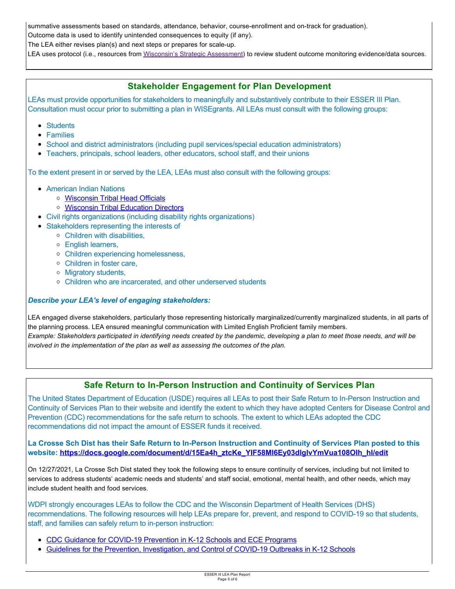summative assessments based on standards, attendance, behavior, course-enrollment and on-track for graduation).

Outcome data is used to identify unintended consequences to equity (if any).

The LEA either revises plan(s) and next steps or prepares for scale-up.

LEA uses protocol (i.e., resources from Wisconsin's Strategic Assessment) to review student outcome monitoring evidence/data sources.

## **Stakeholder Engagement for Plan Development**

LEAs must provide opportunities for stakeholders to meaningfully and substantively contribute to their ESSER III Plan. Consultation must occur prior to submitting a plan in WISEgrants. All LEAs must consult with the following groups:

- Students
- Families
- School and district administrators (including pupil services/special education administrators)
- Teachers, principals, school leaders, other educators, school staff, and their unions

To the extent present in or served by the LEA, LEAs must also consult with the following groups:

- American Indian Nations
	- [Wisconsin Tribal Head Officials](http://witribes.wi.gov/docview.asp?docid=19085&locid=57)
	- [Wisconsin Tribal Education Directors](https://wiea.net/about-wiea/wisconsin-tribal-education-directors/)
- Civil rights organizations (including disability rights organizations)
- Stakeholders representing the interests of
	- Children with disabilities,
	- English learners,
	- Children experiencing homelessness,
	- Children in foster care,
	- Migratory students,
	- Children who are incarcerated, and other underserved students

### *Describe your LEA's level of engaging stakeholders:*

LEA engaged diverse stakeholders, particularly those representing historically marginalized/currently marginalized students, in all parts of the planning process. LEA ensured meaningful communication with Limited English Proficient family members. *Example: Stakeholders participated in identifying needs created by the pandemic, developing a plan to meet those needs, and will be involved in the implementation of the plan as well as assessing the outcomes of the plan.* 

## **Safe Return to In-Person Instruction and Continuity of Services Plan**

The United States Department of Education (USDE) requires all LEAs to post their Safe Return to In-Person Instruction and Continuity of Services Plan to their website and identify the extent to which they have adopted Centers for Disease Control and Prevention (CDC) recommendations for the safe return to schools. The extent to which LEAs adopted the CDC recommendations did not impact the amount of ESSER funds it received.

**La Crosse Sch Dist has their Safe Return to In-Person Instruction and Continuity of Services Plan posted to this website: [https://docs.google.com/document/d/15Ea4h\\_ztcKe\\_YIF58MI6Ey03dlglvYmVua108OIh\\_hI/edit](https://docs.google.com/document/d/15Ea4h_ztcKe_YIF58MI6Ey03dlglvYmVua108OIh_hI/edit)**

On 12/27/2021, La Crosse Sch Dist stated they took the following steps to ensure continuity of services, including but not limited to services to address students' academic needs and students' and staff social, emotional, mental health, and other needs, which may include student health and food services.

WDPI strongly encourages LEAs to follow the CDC and the Wisconsin Department of Health Services (DHS) recommendations. The following resources will help LEAs prepare for, prevent, and respond to COVID-19 so that students, staff, and families can safely return to in-person instruction:

- $\bullet$ [CDC Guidance for COVID-19 Prevention in K-12 Schools and ECE Programs](https://www.cdc.gov/coronavirus/2019-ncov/community/schools-childcare/k-12-guidance.html)
- [Guidelines for the Prevention, Investigation, and Control of COVID-19 Outbreaks in K-12 Schools](https://www.dhs.wisconsin.gov/publications/p02757.pdf)